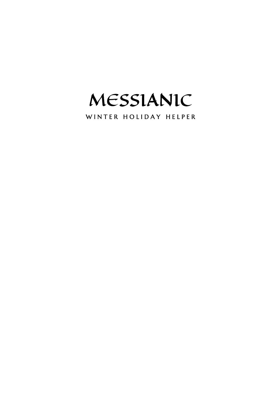MESSIANIC

WINTER HOLIDAY HELPER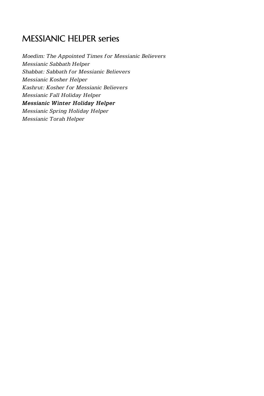## MESSIANIC HELPER series

*Moedim: The Appointed Times for Messianic Believers Messianic Sabbath Helper Shabbat: Sabbath for Messianic Believers Messianic Kosher Helper Kashrut: Kosher for Messianic Believers Messianic Fall Holiday Helper Messianic Winter Holiday Helper Messianic Spring Holiday Helper Messianic Torah Helper*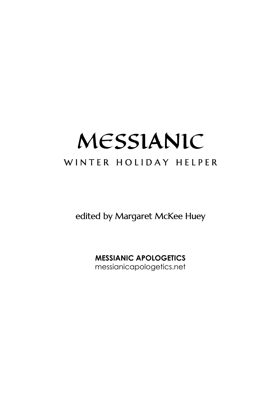# MESSIANIC WINTER HOLIDAY HELPER

edited by Margaret McKee Huey

**MESSIANIC APOLOGETICS**  messianicapologetics.net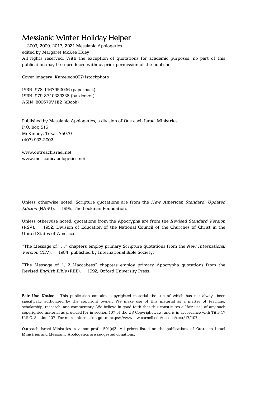2003, 2009, 2017, 2021 Messianic Apologetics edited by Margaret McKee Huey All rights reserved. With the exception of quotations for academic purposes, no part of this publication may be reproduced without prior permission of the publisher.

Cover imagery: Kameleon007/Istockphoto

ISBN 978-1467952026 (paperback) ISBN 979-8740329338 (hardcover) ASIN B00679V1E2 (eBook)

Published by Messianic Apologetics, a division of Outreach Israel Ministries P.O. Box 516 McKinney, Texas 75070 (407) 933-2002

www.outreachisrael.net www.messianicapologetics.net

Unless otherwise noted, Scripture quotations are from the *New American Standard, Updated Edition* (NASU), © 1995, The Lockman Foundation.

Unless otherwise noted, quotations from the Apocrypha are from the *Revised Standard Version* (RSV), 1952, Division of Education of the National Council of the Churches of Christ in the United States of America.

"The Message of…" chapters employ primary Scripture quotations from the *New International Version* (NIV),  $©$  1984, published by International Bible Society.

"The Message of 1, 2 Maccabees" chapters employ primary Apocrypha quotations from the Revised *English Bible* (REB), © 1992, Oxford University Press.

**Fair Use Notice:** This publication contains copyrighted material the use of which has not always been specifically authorized by the copyright owner. We make use of this material as a matter of teaching, scholarship, research, and commentary. We believe in good faith that this constitutes a "fair use" of any such copyrighted material as provided for in section 107 of the US Copyright Law, and is in accordance with Title 17 U.S.C. Section 107. For more information go to: https://www.law.cornell.edu/uscode/text/17/107

Outreach Israel Ministries is a non-profit 501(c)3. All prices listed on the publications of Outreach Israel Ministries and Messianic Apologetics are suggested donations.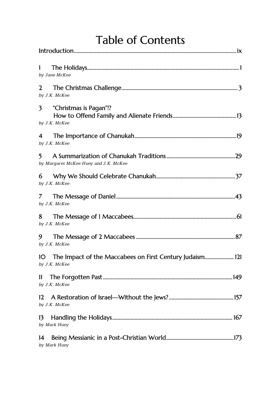| <b>Table of Contents</b> |  |
|--------------------------|--|
|--------------------------|--|

| 1<br>by Jane McKee                                                              |
|---------------------------------------------------------------------------------|
| 2<br>by J.K. McKee                                                              |
| 3<br>"Christmas is Pagan"!?<br>by J.K. McKee                                    |
| 4<br>by J.K. McKee                                                              |
| 5.<br>by Margaret McKee Huey and J.K. McKee                                     |
| 6<br>by J.K. McKee                                                              |
| 7<br>by J.K. McKee                                                              |
| 8<br>by J.K. McKee                                                              |
| 9<br>by J.K. McKee                                                              |
| The Impact of the Maccabees on First Century Judaism 121<br>IО<br>by J.K. McKee |
| H<br>by J.K. McKee                                                              |
| 12<br>by J.K. McKee                                                             |
| 13<br>by Mark Huey                                                              |
| 14<br>by Mark Huey                                                              |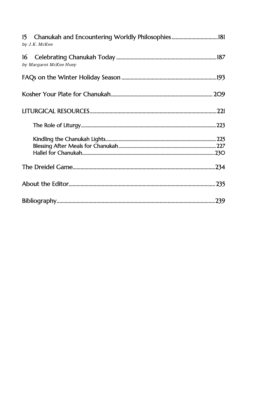| by J.K. McKee                |  |
|------------------------------|--|
| 16<br>by Margaret McKee Huey |  |
|                              |  |
|                              |  |
|                              |  |
|                              |  |
|                              |  |
|                              |  |
|                              |  |
|                              |  |
|                              |  |
|                              |  |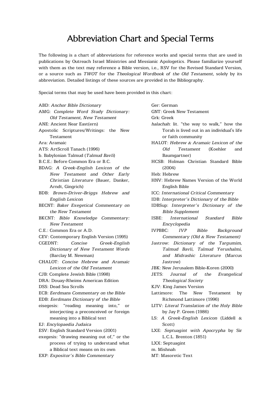## Abbreviation Chart and Special Terms

The following is a chart of abbreviations for reference works and special terms that are used in publications by Outreach Israel Ministries and Messianic Apologetics. Please familiarize yourself with them as the text may reference a Bible version, i.e., RSV for the Revised Standard Version, or a source such as *TWOT* for the *Theological Wordbook of the Old Testament*, solely by its abbreviation. Detailed listings of these sources are provided in the Bibliography.

Special terms that may be used have been provided in this chart:

| ABD: Anchor Bible Dictionary                 |
|----------------------------------------------|
| AMG: Complete Word Study Dictionary:         |
| Old Testament, New Testament                 |
| ANE: Ancient Near East(ern)                  |
| Apostolic Scriptures/Writings: the New       |
| Testament                                    |
| Ara: Aramaic                                 |
| ATS: ArtScroll Tanach (1996)                 |
| b. Babylonian Talmud ( <i>Talmud Bavli</i> ) |
| B.C.E.: Before Common Era or B.C.            |
| BDAG: A Greek-English Lexicon of the         |
| New Testament and Other Early                |
| Christian Literature (Bauer, Danker,         |
| Arndt, Gingrich)                             |
| BDB: Brown-Driver-Briggs Hebrew and          |
| English Lexicon                              |
| BECNT: Baker Exegetical Commentary on        |
| the New Testament                            |
| BKCNT: Bible Knowledge Commentary:           |
| <b>New Testament</b>                         |
| C.E.: Common Era or A.D.                     |
| CEV: Contemporary English Version (1995)     |
| CGEDNT:<br>Concise<br>Greek-English          |
| Dictionary of New Testament Words            |
| (Barclay M. Newman)                          |
| CHALOT: Concise Hebrew and Aramaic           |
| Lexicon of the Old Testament                 |
| CJB: Complete Jewish Bible (1998)            |
| DRA: Douay-Rheims American Edition           |
| DSS: Dead Sea Scrolls                        |
| ECB: Eerdmans Commentary on the Bible        |
| EDB: Eerdmans Dictionary of the Bible        |
| eisegesis: "reading meaning into,"<br>or     |
| interjecting a preconceived or foreign       |
| meaning into a Biblical text                 |
| EJ: Encylopaedia Judaica                     |
| ESV: English Standard Version (2001)         |
| exegesis: "drawing meaning out of," or the   |
| process of trying to understand what         |
| a Biblical text means on its own             |
| EXP: Expositor's Bible Commentary            |
|                                              |

| Ger: German                                 |
|---------------------------------------------|
| <b>GNT: Greek New Testament</b>             |
| Grk: Greek                                  |
| halachah: lit. "the way to walk," how the   |
| Torah is lived out in an individual's life  |
| or faith community                          |
| HALOT: Hebrew & Aramaic Lexicon of the      |
| Old<br>Testament (Koehler<br>and            |
| Baumgartner)                                |
| HCSB: Holman Christian Standard Bible       |
| (2004)                                      |
| Heb: Hebrew                                 |
| HNV: Hebrew Names Version of the World      |
| English Bible                               |
| ICC: International Critical Commentary      |
| IDB: Interpreter's Dictionary of the Bible  |
| IDBSup: Interpreter's Dictionary of the     |
| <b>Bible Supplement</b>                     |
| International Standard<br>ISBE:<br>Bible    |
| Encyclopedia                                |
| <b>IVP</b><br>Bible Background<br>IVPBBC:   |
| Commentary (Old & New Testament)            |
| Jastrow: Dictionary of the Targumim,        |
| Talmud Bavli, Talmud Yerushalmi,            |
| and Midrashic Literature (Marcus            |
| Jastrow)                                    |
| JBK: New Jerusalem Bible-Koren (2000)       |
| JETS: Journal of the Evangelical            |
| <b>Theological Society</b>                  |
| KJV: King James Version                     |
| Lattimore: The New Testament by             |
| Richmond Lattimore (1996)                   |
| LITV: Literal Translation of the Holy Bible |
| by Jay P. Green (1986)                      |
| LS:<br>A Greek-English Lexicon (Liddell &   |
| Scott)                                      |
| LXE: Septuagint with Apocrypha by Sir       |
| L.C.L. Brenton (1851)                       |
| LXX: Septuagint                             |
| m. Mishnah                                  |

MT: Masoretic Text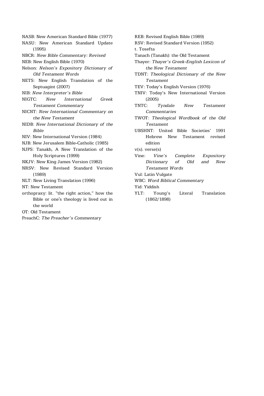- NASB: New American Standard Bible (1977)
- NASU: New American Standard Update (1995)
- NBCR: *New Bible Commentary: Revised*
- NEB: New English Bible (1970)

Nelson: *Nelson's Expository Dictionary of Old Testament Words*

- NETS: New English Translation of the Septuagint (2007)
- NIB: *New Interpreter's Bible*
- NIGTC: *New International Greek Testament Commentary*
- NICNT: *New International Commentary on the New Testament*
- NIDB: *New International Dictionary of the Bible*
- NIV: New International Version (1984)
- NJB: New Jerusalem Bible-Catholic (1985)
- NJPS: Tanakh, A New Translation of the Holy Scriptures (1999)
- NKJV: New King James Version (1982)
- NRSV: New Revised Standard Version (1989)
- NLT: New Living Translation (1996)
- NT: New Testament
- orthopraxy: lit. "the right action," how the Bible or one's theology is lived out in the world
- OT: Old Testament
- PreachC: *The Preacher's Commentary*

REB: Revised English Bible (1989)

RSV: Revised Standard Version (1952) t. Tosefta

- Tanach (Tanakh): the Old Testament
- Thayer: *Thayer's Greek-English Lexicon of the New Testament*
- TDNT: *Theological Dictionary of the New Testament*
- TEV: Today's English Version (1976)
- TNIV: Today's New International Version (2005)
- TNTC: *Tyndale New Testament Commentaries*
- TWOT: *Theological Wordbook of the Old Testament*
- UBSHNT: United Bible Societies' 1991 Hebrew New Testament revised edition
- v(s). verse(s)
- Vine: *Vine's Complete Expository Dictionary of Old and New Testament Words*
- Vul: Latin Vulgate
- WBC: *Word Biblical Commentary*

Yid: Yiddish

YLT: Young's Literal Translation (1862/1898)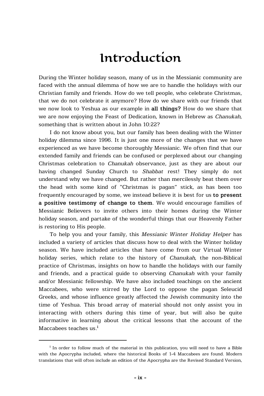## Introduction

During the Winter holiday season, many of us in the Messianic community are faced with the annual dilemma of how we are to handle the holidays with our Christian family and friends. How do we tell people, who celebrate Christmas, that we do not celebrate it anymore? How do we share with our friends that we now look to Yeshua as our example in **all things?** How do we share that we are now enjoying the Feast of Dedication, known in Hebrew as *Chanukah*, something that is written about in John 10:22?

I do not know about you, but our family has been dealing with the Winter holiday dilemma since 1996. It is just one more of the changes that we have experienced as we have become thoroughly Messianic. We often find that our extended family and friends can be confused or perplexed about our changing Christmas celebration to *Chanukah* observance, just as they are about our having changed Sunday Church to *Shabbat* rest! They simply do not understand why we have changed. But rather than mercilessly beat them over the head with some kind of "Christmas is pagan" stick, as has been too frequently encouraged by some, we instead believe it is best for us **to present a positive testimony of change to them**. We would encourage families of Messianic Believers to invite others into their homes during the Winter holiday season, and partake of the wonderful things that our Heavenly Father is restoring to His people.

To help you and your family, this *Messianic Winter Holiday Helper* has included a variety of articles that discuss how to deal with the Winter holiday season. We have included articles that have come from our Virtual Winter holiday series, which relate to the history of *Chanukah*, the non-Biblical practice of Christmas, insights on how to handle the holidays with our family and friends, and a practical guide to observing *Chanukah* with your family and/or Messianic fellowship. We have also included teachings on the ancient Maccabees, who were stirred by the Lord to oppose the pagan Seleucid Greeks, and whose influence greatly affected the Jewish community into the time of Yeshua. This broad array of material should not only assist you in interacting with others during this time of year, but will also be quite informative in learning about the critical lessons that the account of the Maccabees teaches us.**<sup>i</sup>**

**i** In order to follow much of the material in this publication, you will need to have a Bible with the Apocrypha included, where the historical Books of 1-4 Maccabees are found. Modern translations that will often include an edition of the Apocrypha are the Revised Standard Version,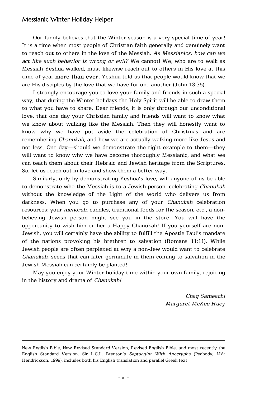Our family believes that the Winter season is a very special time of year! It is a time when most people of Christian faith generally and genuinely want to reach out to others in the love of the Messiah. *As Messianics, how can we act like such behavior is wrong or evil?* We cannot! We, who are to walk as Messiah Yeshua walked, must likewise reach out to others in His love at this time of year **more than ever.** Yeshua told us that people would know that we are His disciples by the love that we have for one another (John 13:35).

I strongly encourage you to love your family and friends in such a special way, that during the Winter holidays the Holy Spirit will be able to draw them to what you have to share. Dear friends, it is only through our unconditional love, that one day your Christian family and friends will want to know what we know about walking like the Messiah. Then they will honestly want to know why we have put aside the celebration of Christmas and are remembering *Chanukah*, and how we are actually walking more like Jesus and not less. One day—should we demonstrate the right example to them—they will want to know why we have become thoroughly Messianic, and what we can teach them about their Hebraic and Jewish heritage from the Scriptures. So, let us reach out in love and show them a better way.

Similarly, only by demonstrating Yeshua's love, will anyone of us be able to demonstrate who the Messiah is to a Jewish person, celebrating *Chanukah* without the knowledge of the Light of the world who delivers us from darkness. When you go to purchase any of your *Chanukah* celebration resources: your *menorah*, candles, traditional foods for the season, etc., a nonbelieving Jewish person might see you in the store. You will have the opportunity to wish him or her a Happy Chanukah! If you yourself are non-Jewish, you will certainly have the ability to fulfill the Apostle Paul's mandate of the nations provoking his brethren to salvation (Romans 11:11). While Jewish people are often perplexed at why a non-Jew would want to celebrate *Chanukah*, seeds that can later germinate in them coming to salvation in the Jewish Messiah can certainly be planted!

May you enjoy your Winter holiday time within your own family, rejoicing in the history and drama of *Chanukah!*

> *Chag Sameach! Margaret McKee Huey*

New English Bible, New Revised Standard Version, Revised English Bible, and most recently the English Standard Version. Sir L.C.L. Brenton's *Septuagint With Apocrypha* (Peabody, MA: Hendrickson, 1999), includes both his English translation and parallel Greek text.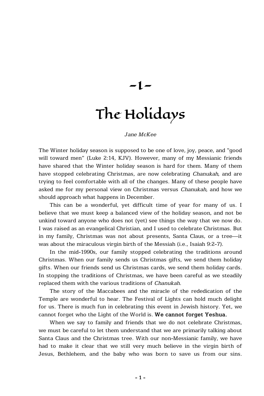-1-

# The Holidays

#### *Jane McKee*

The Winter holiday season is supposed to be one of love, joy, peace, and "good will toward men" (Luke 2:14, KJV). However, many of my Messianic friends have shared that the Winter holiday season is hard for them. Many of them have stopped celebrating Christmas, are now celebrating *Chanukah*, and are trying to feel comfortable with all of the changes. Many of these people have asked me for my personal view on Christmas versus *Chanukah*, and how we should approach what happens in December.

This can be a wonderful, yet difficult time of year for many of us. I believe that we must keep a balanced view of the holiday season, and not be unkind toward anyone who does not (yet) see things the way that we now do. I was raised as an evangelical Christian, and I used to celebrate Christmas. But in my family, Christmas was not about presents, Santa Claus, or a tree—it was about the miraculous virgin birth of the Messiah (i.e., Isaiah 9:2-7).

In the mid-1990s, our family stopped celebrating the traditions around Christmas. When our family sends us Christmas gifts, we send them holiday gifts. When our friends send us Christmas cards, we send them holiday cards. In stopping the traditions of Christmas, we have been careful as we steadily replaced them with the various traditions of *Chanukah*.

The story of the Maccabees and the miracle of the rededication of the Temple are wonderful to hear. The Festival of Lights can hold much delight for us. There is much fun in celebrating this event in Jewish history. Yet, we cannot forget who the Light of the World is. **We cannot forget Yeshua.**

When we say to family and friends that we do not celebrate Christmas, we must be careful to let them understand that we are primarily talking about Santa Claus and the Christmas tree. With our non-Messianic family, we have had to make it clear that we still very much believe in the virgin birth of Jesus, Bethlehem, and the baby who was born to save us from our sins.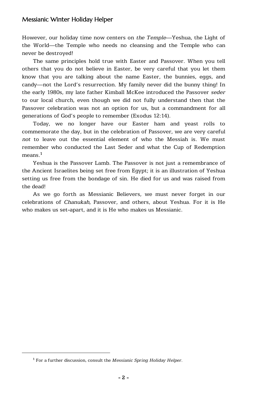However, our holiday time now centers on *the Temple*—Yeshua, the Light of the World—the Temple who needs no cleansing and the Temple who can never be destroyed!

The same principles hold true with Easter and Passover. When you tell others that you do not believe in Easter, be very careful that you let them know that you are talking about the name Easter, the bunnies, eggs, and candy—not the Lord's resurrection. My family never did the bunny thing! In the early 1980s, my late father Kimball McKee introduced the Passover *seder* to our local church, even though we did not fully understand then that the Passover celebration was not an option for us, but a commandment for all generations of God's people to remember (Exodus 12:14).

Today, we no longer have our Easter ham and yeast rolls to commemorate the day, but in the celebration of Passover, we are very careful *not* to leave out the essential element of who the Messiah is. We must remember who conducted the Last Seder and what the Cup of Redemption means.**<sup>1</sup>**

Yeshua is the Passover Lamb. The Passover is not just a remembrance of the Ancient Israelites being set free from Egypt; it is an illustration of Yeshua setting us free from the bondage of sin. He died for us and was raised from the dead!

As we go forth as Messianic Believers, we must never forget in our celebrations of *Chanukah*, Passover, and others, about Yeshua. For it is He who makes us set-apart, and it is He who makes us Messianic.

**<sup>1</sup>** For a further discussion, consult the *Messianic Spring Holiday Helper.*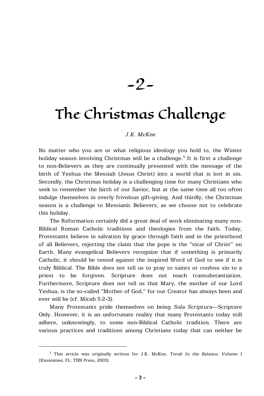-2-

## The Christmas Challenge

#### *J.K. McKee*

No matter who you are or what religious ideology you hold to, the Winter holiday season involving Christmas will be a challenge.**<sup>1</sup>** It is first a challenge to non-Believers as they are continually presented with the message of the birth of Yeshua the Messiah (Jesus Christ) into a world that is lost in sin. Secondly, the Christmas holiday is a challenging time for many Christians who seek to remember the birth of our Savior, but at the same time all too often indulge themselves in overly frivolous gift-giving. And thirdly, the Christmas season is a challenge to Messianic Believers, as we choose not to celebrate this holiday.

The Reformation certainly did a great deal of work eliminating many non-Biblical Roman Catholic traditions and theologies from the faith. Today, Protestants believe in salvation by grace through faith and in the priesthood of all Believers, rejecting the claim that the pope is the "vicar of Christ" on Earth. Many evangelical Believers recognize that if something is primarily Catholic, it should be tested against the inspired Word of God to see if it is truly Biblical. The Bible does not tell us to pray to saints or confess sin to a priest to be forgiven. Scripture does not teach transubstantiation. Furthermore, Scripture does not tell us that Mary, the mother of our Lord Yeshua, is the so-called "Mother of God," for our Creator has always been and ever will be (cf. Micah 5:2-3).

Many Protestants pride themselves on being *Sola Scriptura*—Scripture Only. However, it is an unfortunate reality that many Protestants today still adhere, unknowingly, to some non-Biblical Catholic tradition. There are various practices and traditions among Christians today that can neither be

**<sup>1</sup>** This article was originally written for J.K. McKee, *Torah In the Balance, Volume I* (Kissimmee, FL: TNN Press, 2003).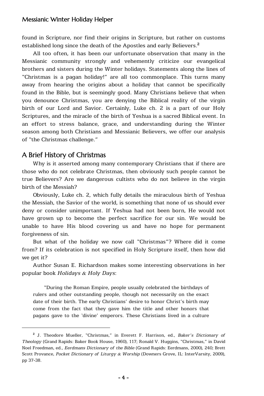found in Scripture, nor find their origins in Scripture, but rather on customs established long since the death of the Apostles and early Believers.**<sup>2</sup>**

All too often, it has been our unfortunate observation that many in the Messianic community strongly and vehemently criticize our evangelical brothers and sisters during the Winter holidays. Statements along the lines of "Christmas is a pagan holiday!" are all too commonplace. This turns many away from hearing the origins about a holiday that cannot be specifically found in the Bible, but is seemingly good. Many Christians believe that when you denounce Christmas, you are denying the Biblical reality of the virgin birth of our Lord and Savior. Certainly, Luke ch. 2 is a part of our Holy Scriptures, and the miracle of the birth of Yeshua is a sacred Biblical event. In an effort to stress balance, grace, and understanding during the Winter season among both Christians and Messianic Believers, we offer our analysis of "the Christmas challenge."

#### A Brief History of Christmas

Why is it asserted among many contemporary Christians that if there are those who do not celebrate Christmas, then obviously such people cannot be true Believers? Are we dangerous cultists who do not believe in the virgin birth of the Messiah?

Obviously, Luke ch. 2, which fully details the miraculous birth of Yeshua the Messiah, the Savior of the world, is something that none of us should ever deny or consider unimportant. If Yeshua had not been born, He would not have grown up to become the perfect sacrifice for our sin. We would be unable to have His blood covering us and have no hope for permanent forgiveness of sin.

But what of the holiday we now call "Christmas"? Where did it come from? If its celebration is not specified in Holy Scripture itself, then how did we get it?

Author Susan E. Richardson makes some interesting observations in her popular book *Holidays & Holy Days*:

"During the Roman Empire, people usually celebrated the birthdays of rulers and other outstanding people, though not necessarily on the exact date of their birth. The early Christians' desire to honor Christ's birth may come from the fact that they gave him the title and other honors that pagans gave to the 'divine' emperors. These Christians lived in a culture

**<sup>2</sup>** J. Theodore Mueller, "Christmas," in Everett F. Harrison, ed., *Baker's Dictionary of Theology* (Grand Rapids: Baker Book House, 1960), 117; Ronald V. Huggins, "Christmas," in David Noel Freedman, ed., *Eerdmans Dictionary of the Bible* (Grand Rapids: Eerdmans, 2000), 240; Brett Scott Provance, *Pocket Dictionary of Liturgy & Worship* (Downers Grove, IL: InterVarsity, 2009), pp 37-38.